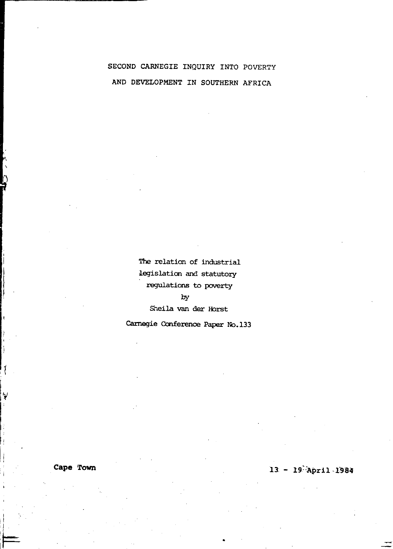# SECOND CARNEGIE INQUIRY INTO POVERTY AND DEVELOPMENT IN SOUTHERN AFRICA

The relation of industrial legislation and statutory regulations to poverty by Sheila van der Horst

Carnegie Conference Paper No.133

Cape Town

 $13 - 19$  April 1984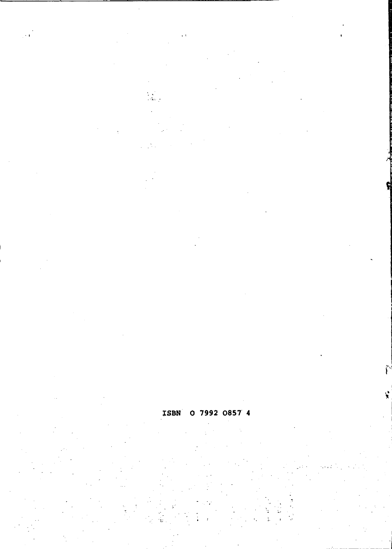#### 0 7992 0857 4 **ISBN**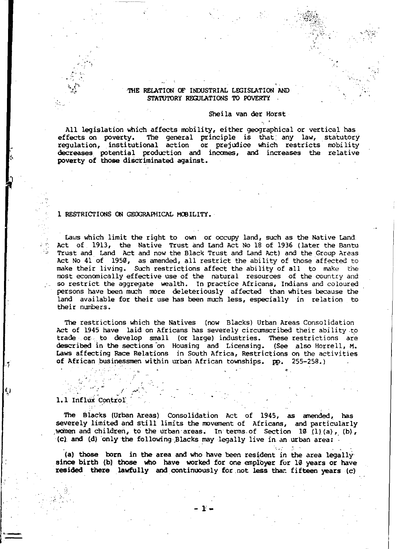#### THE RELATION OF INDUSTRIAL LEGISLATION AND STATUTORY RECULATIONS TO POVERTY

#### Sheila van der Horst

'; <sup>~</sup>

"

",

All legislation which affects mobility, either geographical or vertical has effects on poverty. The general principle is that: any law, statutory regulation, institutional action or prejudice which restricts mobility decreases potential prodoction and incanes, and increases the relative poverty of those discriminated against.

#### 1 RESTRICTIONS ON GEOGRAPHICAL MOBILITY.

Laws which limit the right to own or occupy land, such as the Native Land. Act of 1913, the Native Trust and Land Act No 18 of 1936 (later the Bantu  $\sim$  Trust and Land Act and now the Black Trust and Land Act) and the Group Areas Act No 41 of 1950, as amended, all restrict the ability of those affected to make their living. Such restrictions affect the ability of all to make the most economically effective use of the natural resources of the country and so restrict the aggregate wealth. In practice Africans, Indians and coloured persons have been much more deleteriously affected than whites because the land available for their use has been much less, especially in relation to their numbers.

The restrictions which the Natives (now Blacks) Urban Areas Consolidation Act of 1945 have laid on Africans has severely circumscribed their ability .to trade or to develop small (or large) industries. These restrictions are described in the sections on Housing and Licensing. (See also Horrell, M. Laws affecting Race Relations in South Africa, Restrictions on the activities of African businessmen within urban African townships. pp. 255-258.)

#### 1.1 Influx Control

 $\mathcal{E}^{\mathcal{E}}$  are

'·1

Q

The Blacks (Urban Areas) Consolidation Act of 1945, as amended, has severely limited and still limits the movement of Africans, and particularly , women and children, to the urban areas. In terms of Section 10  $(1)(a)$ , (b), (c). and ld) 'only the following ,Blacks may legally live in. an urban area: .

(a) those born in the area and who have been resident in the area legally since birth (b) those who have worked for one employer for 10 years or have resided there lawfully and continuously for not less than fifteen years (c)

 $\ddot{x}$  –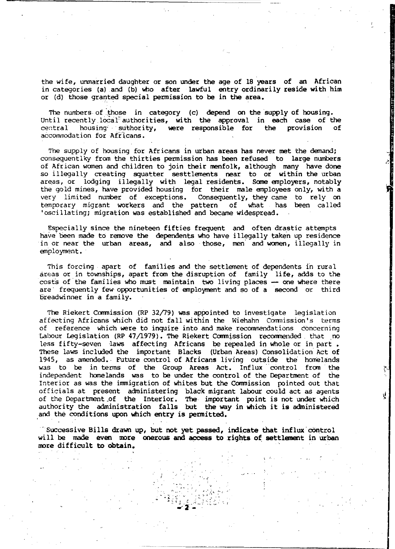the wife, unmarried daughter or son under the age of 18 years of an African in categories (a) and (b) who after lawful entry ordinarily reside with him or (d) those granted special permission to be in the area.

The numbers of those in category (c) depend on the supply of housing. Until recently local-authorities, with the approval in each case of the central housing suthority, were responsible for the provision of housing- suthority, were responsible for the accommodation for Africans.

The supply of housing for Africans in urban areas has never met the demand; consequentlky from the thirties permission has been refused to large numbers of African women and children to join their menfolk, although many have done so illegally creating squatter sesttlements near to or within the urban areas, or lodging illegally with legal residents. Some employers, notably the gold mines, have provided housing for their male employees only, with a very limited number of exceptions. Consequently, they came to rely on<br>temporary migrant workers and the pattern of what has been called 'oscillating; migration was established and became widespread.

Especially since the nineteen fifties frequent and often drastic attempts have been made to remove the dependents who have illegally taken up residence in ot near the urban areas, and also those, men' and women, illegally in employment.

This forcing apart of families and the settlement of dependents in rural areas or in townships, apart from the disruption of family life, adds to the costs of the families who must maintain two living places -- one where there are frequently few opportunities of employment and so of a second or third breadwinner in a family.

The Riekert Commission (RP 32/79) was appointed to investigate legislation affecting Africans which did not fall within the Wiehahn Commission's terms of reference which were to inquire into and make recommendations concerning Labour Legislation (RP 47/1979). The Riekert Commission recommended that no less fifty-seven laws affecting Africans be repealed in whole or in part. These laws included the important Blacks (Urban Areas) Consolidation Act of 1945, as amended. Future control of Africans living outside the homelands was to be in terms of the Group Areas Act. Influx control from the independent homelands was to be under the control of the Department of the Interior as was the immigration of whites but the commission pointed out that officials at present administering black migrant labour could act as agents of the Department.of the Interior. The important point is not under which authority the administration falls but the way in which it is administered and the conditions upon which entry is permitted.

'successive Bills drawn up, but not yet passed, indicate that influx'cOntrol will be made even more onerous and access to rights of settlement in urban more difficult to obtain.

> ~~.:,:.~ ::~;. ,. ~ \~':z:.,,:"

Ą

 $\sum_{i=1}^{n}$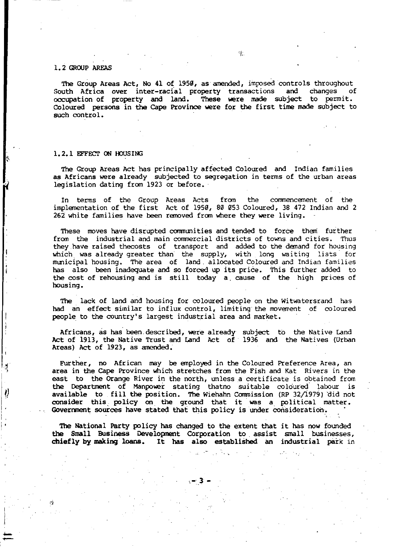#### 1.2 GROUP AREAS

The Group Areas Act, No 41 of 1950, as amended, imposed controls throughout<br>with Africa over inter-racial property transactions, and changes of South Africa over inter-racial property transactions and changes of occupation of property and land. These were made subject to permit. COloured persons in the Cape Province were for the first time made subject to such control.

#### 1.2.1 EFFECT ON HOUSING

<sup>I</sup>' '

Ì.

The Group Areas Act has principally affected COloured and Indian families as Africans were already subjected to segregation in terms of the urban areas legislation dating from 1923 or before.

In terms of the Group Areas Acts from the commencement of the implementation of the first Act of 1959, 80 053 Coloured, 38 472 Indian and 2 262 white families have been removed from where they were living.

These moves have disrupted communities and tended to force them further from the industrial and main commercial districts of towns and cities. Thus they have raised thecosts of transport and added to the demand for housing which was already greater than' the supply, with long waiting lists for municipal housing. The area of land. allocated Coloured and Indian familieS has also been inadequate and so forced up its price. This further added to the cost of rehousing and is still today a. cause of the high prices of housing.

The lack of land and housing for coloured people on the Witwatersrand has had an effect similar to influx control, limiting the movement of coloured people to the country's largest industrial area and market.

Africans, as has' been. described, were already subject to the Native Land Act of 1913, the Native Trust and Land Act of 1936 and the Natives (Urban Areas) Act of 1923, as amended.

Further, no African may be employed in the Coloured Preference Area, an area in the Cape Province which stretches from the Fish and Kat Rivers in the east to the Orange River in the north, unless a certificate is obtained from the Department of Manpower stating thatno sui table coloured labour is available to fill the position. The Wiehahn Commission (RP 32/1979) did not consider this policy on the ground that it was a political matter. Government sources have stated that this policy is under consideration.

The National Party policy has changed to the extent that it has now founded the Small Business Development COrporation to assist small businesses, chiefly by making' loans. It has also established an industrial park in

-.3 -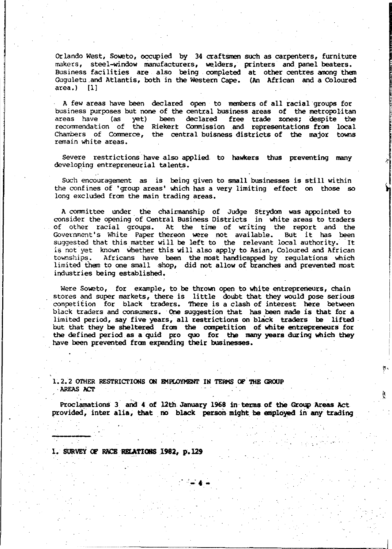Orlando West, Soweto, occupied by 34 craftsmen such as carpenters, furniture makers, steel-window manufacturers, welders, printers and panel beaters. Business facilities are also being completed at other centres among them Guguletu and Atlantis, both in the Western Cape. (An African and a Coloured area.) [1] area.)

A few areas have been declared open to members of all racial groups for business purposes but none of the central business areas of the metropolitan areas have (as yet) been declared free trade zones; despite the recommendation of the Riekert Commission and representations from local Chambers of Commerce, the central buisness districts of the major towns remain white areas.

Severe restrictions have also applied, to hawkers thus preventing many developing entrepreneurial talents.

Such encouragement as is being given to small businesses is still within the confines of 'group areas' which has a very limiting effect on those so long excluded from the main trading areas.

A committee under the chairmanship of Judge Strydom was appointed to consider the opening of Central Business Districts in white areas to traders of other racial groups. At the time of writing the report and the Government's White Paper thereon were not available. But it has been suggested that this matter will be left to the relevant local authority. 'It is not'yet known Whether this will also apply to Asian, Coloured and African Africans have been the most handicapped by regulations which limited them to one small shop, did not allow of branches and prevented most industries being established.

Were Soweto, for example, to be thrown open to white entrepreneurs, chain stores and super markets, there is little doubt that they would pose serious competition for black traders. There is a clash of interest here between black traders and consumers. One suggestion that has been made is that for a limited period, say five years, all restrictions on black traders be lifted. but that they be sheltered from the competition of white entrepreneurs for the defined period as a quid pro quo for the many years during which they have been prevented from expanding their businesses.

1.2.2 OTHER RESTRICTIONS ON EMPLOYMENT IN TERMS OF THE GROUP AREAS ACT

Proclamations 3 and 4 of 12th January 1968 in terms of the Group Areas Act provided, inter alia, that no black person might be employed in any trading į,

1. SURVEY OF RACE RELATIONS 1982, p.129

"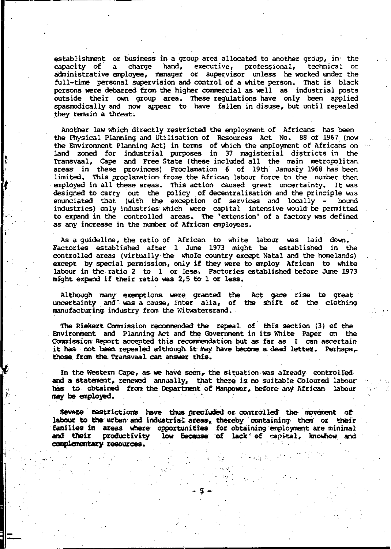establishment or business in a group area allocated to another group, in the capacity of a charge hand, executive, professional, technical or a charge hand, executive, professional, technical or administrative employee, manager or supervisor unless he worked under the full-time personal supervision and control of a white person. That is black persons were debarred fran the higher cornnercial as well as industrial posts outside their own group area. These regulations have only been applied spasrrodically and now appear to have fallen in disuse, but until repealed they remain a threat.

Another law which directly restricted the employment of Africans has been the Physical Planning and Utilisation of Resources Act No. 88 of 1967 {now the Environment Planning Act) in terms of which the employment of Africans on land zoned for industrial purposes in 37 magisterial districts in the Transvaal, Cape and Free State (these included all the main metropolitan areas in these provinces) Proclamation 6 of 19th January 1968 has been limited. This proclamation- froze the African labour force to the number then employed in all these areas. This action caused great uncertainty. It was designed to carry out the policy of decentralisation and the principle was enunciated that (with the exception of services and locally - bound industries) only industries which were capital intensive would be permitted to expand in the controlled areas. The 'extension' of a factory was defined as any increase in the number of African employees.

As a guideline, the ratio of African to white labour was laid down. Factories established after I June 1973 might be established in the contxolled areas (virtually- the whole country except Natal and the homelands) except by special permission, only if they were to anploy African to white labour in the ratio 2 to 1 or less. Factories established befoz:e June 1973 might expand if their ratio was 2,5 to 1 or less.

Although many exemptions were granted the Act gace rise to great uncertainty and was a cause, inter alia, of the shift of the clothing manufacturing industry from the Witwatersrand.

The Riekert Commission recommended the repeal of this section (3) of the Environment and Planning Act and the Government in its White Paper on the Commission Report accepted this recommendation but as far as I can ascertain it has -not been repealed although it may have become a dead letter. Perhaps,those from the Transvaal can answer this.

In the Western Cape, as we have seen, the situation was already controlledand a statement, renewed annually, that there is no suitable Coloured labourhas to obtained from the Department of Manpower, before any African labour may be employed.

Severe restrictions have thus preciuded or controlled the movement of labour to the urban and industrial areas, thereby containing them or their<br>families in areas where' opportunities for obtaining employment are minimal and their productivity low because of lack' of capital, knowhow and complementary resources.

-. S--

 $\mathbb{C}^{1,1}$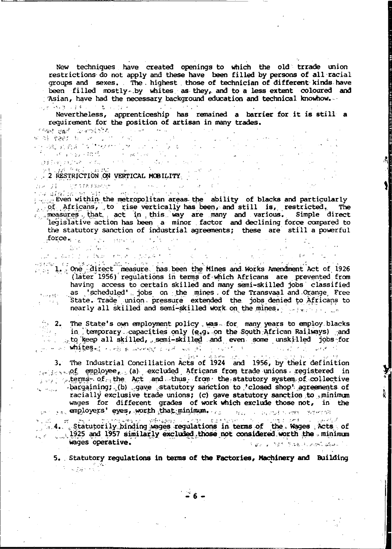New techniques have created openings to which the old trrade union restrictions do not apply and these have been filled by persons of all racial groups and sexes. The highest those of technician of different kinds have been filled mostly by whites as they, and to a less extent coloured and Asian, have had the necessary background education and technical knowhow.  $\mathbb{R}^2$  is a substitute of  $\mathfrak{g}_{\mathbb{R}^2}$  ,  $\mathbb{R}^2$  ,  $\mathbb{R}^2$  ,  $\mathbb{R}^2$  ,  $\mathbb{R}^2$  ,  $\mathbb{R}^2$  ,  $\mathbb{R}^2$ 

Nevertheless, apprenticeship has remained a barrier for it is still a requirement for the position of artisan in many trades. **CREEK BEER COMPLETER CONTRACTOR Card** 

ਆ ਨਾ *ਵਿਰੋਹੇ* ਸ਼ਾਨ ਦਾ ਹਿਸ **ENERGY AND AN ARTICLE SERVICE SERVICE SERVICE SERVICE SERVICE SERVICE SERVICE SERVICE SERVICE SERVICE SERVICE S<br>A SERVICE SERVICE SERVICE SERVICE SERVICE SERVICE SERVICE SERVICE SERVICE SERVICE SERVICE SERVICE SERVICE SER** 

 $\mathcal{F}=\mathbb{Z}/20\times10^7$ 

 $\mathbb{R}^2$ 

i pasti pilihar kronic poskri

i sa na matamatika (na 1990)<br>1924 – Alexandria Maria (na matamatika (na 1900)<br>1924 – Algeland Maria (na matamatika (na 1900) Even within the metropolitan areas the ability of blacks and particularly of Africans, to rise vertically has been, and still is, restricted. The measures that act in this way are many and various. Simple direct legislative action has been a minor factor and declining force compared to the statutory sanction of industrial agreements; these are still a powerful  $force_{\text{eff}}$   $\frac{1}{2}$   $\frac{1}{2}$   $\frac{1}{2}$   $\frac{1}{2}$   $\frac{1}{2}$   $\frac{1}{2}$   $\frac{1}{2}$   $\frac{1}{2}$ 

Japonest

(later 1956) regulations in terms of which Africans are prevented from having access to certain skilled and many semi-skilled jobs classified as scheduled jobs on the mines of the Transvaal and Orange Free<br>State. Trade union pressure extended the jobs denied to Africans to  $\log M_{\rm Pl}$  . nearly all skilled and semi-skilled work on the mines. weight was

2. The State's own employment policy was for many years to employ blacks<br>in temporary capacities only (e.g. on the South African Railways) and to keep all skilled, semi-skilled and even some unskilled jobs for

 $\therefore$  whites.<br>3. The Industrial Conciliation Acts of 1924 and 1956, by their definition entity of employee, (a) excluded Africans from trade unions registered in  $\Box$  . terms of the  $Act$  and thus from the statutory system of collective bargaining; (b) gave statutory sanction to closed shop agreements of الموسوسة أنتها racially exclusive trade unions; (c) gave statutory sanction to minimum wages for different grades of work which exclude those not, in the yer and comployers' eyes, worth that minimum, and the contract of the second

4. Statutorily binding wages regulations in terms of the Wages Acts of 1925 and 1957 similarly excluded those not considered worth the minimum wages operative. Algreing internity to the studies of the problem

5. Statutory regulations in terms of the Factories, Machinery and Building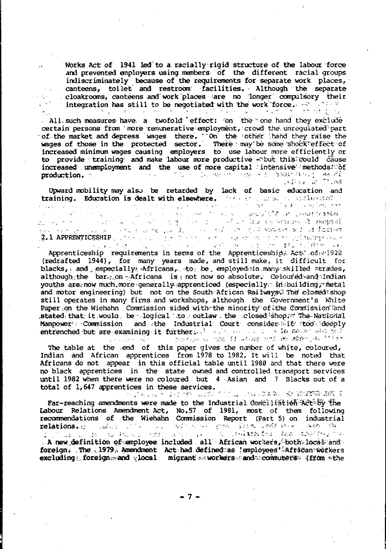Works Act of 1941 led to a racially rigid structure of the labour force and prevented employers using members of the different racial groups indiscriminately because of the requirements for separate work places, canteens, toilet and restroom facilities. Although the separate cloakrooms, canteens and work places are no longer compulsory their integration has still to be negotiated with the work force. <u>The Territory and the second second</u>  $\gamma_{\rm eff} = 1.28$  $\Sigma_{\rm{QCD}}=3.5$ الموارد والمراج

. All such measures have a twofold effect: on the one hand they exclude certain persons from 'more remunerative employment, crowd the unrequiated part of the market and depress wages there. "On the 'other 'hand they raise the wages of those in the protected sector. There may be some shock'effe increased minimum wages causing employers to use labour more efficiently or to provide training and make labour more productive -"but this could cause increased memployment and the use of more capital intensive methods. Of  $230453444$   $-48456$ production.  $\lambda_{\rm DM}$  . **Contractor** of the old

Upward mobility may also be retarded by lack of basic education and training. Education is dealt with elsewhere.

 $\frac{1}{2}$  ,  $\frac{1}{2}$  ,

a construction

2.1 APPRENTICESHIP (1999) - 1999 - 1999 - 1999 - 1999 - 1999 - 1999 - 1999 - 1999 - 1999 - 1999 - 1999 - 1999<br>2.1 APPRENTICESHIP (1999) - 1999 - 1999 - 1999 - 1999 - 1999 - 1999 - 1999 - 1999 - 1999 - 1999 - 1999 - 1999<br>19 Apprenticeship requirements in terms of the Apprenticeship. Act. of 1922 (redrafted 1944), for many years made, and still make, it difficult for blacks, and especially Africans, to be employed in many skilled atrades. although the bar, on Africans is not now so absolute. Coloured and Indian youths are, now much, more generally apprenticed (especially in building, thetal and motor engineering) but not on the South African Railways. The closed shop still operates in many firms and workshops, although the Government's White Paper on the Wiehahn Commission sided with the minority of the Commission and stated that it would, be logical to outlaw the closed shop. The National Manpower: Commission and the Industrial Court consider it too deeply entrenched but are examining it furthers. I also the second are the second to the contract of the second the second second second that the second second the second second second the second second second second second secon

The table at the end of this paper gives the number of white, coloured, Indian and African apprentices from 1978 to 1982. It will be noted that Africans do not appear in this official table until 1980 and that there were no black apprentices in the state owned and controlled transport services until 1982 when there were no coloured but 4 Asian and 7 Blacks out of a total of 1,647 apprentices in these services.<br>Literature of the services of the service of the service of the service of the services of the services different

Far-reaching amendments were made to the Industrial Conciliation Act by the Labour Relations Amendment Act, No.57 of 1981, most of them following<br>recommendations of the Wiehahn Commission Report (Part 5) on industrial relations. The site of the second that the same and the same of estados de la productiva de la productiva de la productiva de la productiva de la productiva de la productiva<br>La new definition of semployee included all African workers, both local and foreign. The 1979. Amendment Act had defined as 'employees' African workers excluding foreign and vlocal migrant subcrease and commuters (from the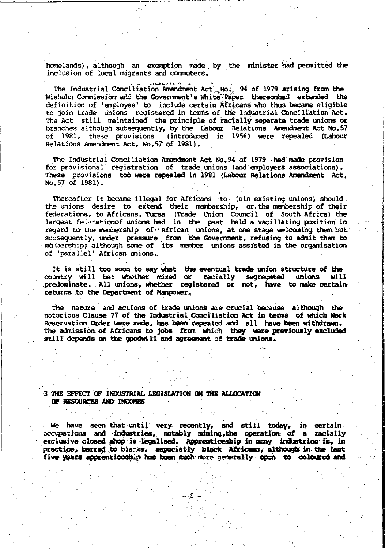homelands), although an exemption made by the minister had permitted the inclusion of local migrants and commuters.

The Industrial Conciliation Amendment Act No. 94 of 1979 arising from the Wiehahn Commission and the Government's White Paper thereonhad extended the definition of 'employee' to include certain Africans who thus became eligible to join trade unions registered in terms of the Industrial Conciliation Act. The Act still maintained the principle of racially separate trade unions or branches although subsequently, by the tabour Relations Amendment Act No.57 of 1981, these provisions (introduced in 1956) were repealed (Labour Relations Amendment Act, No.57 of 1981).

The Industrial Conciliation Amendment Act No.94 of 1979 -had made provision for provisional registration of trade unions (and employers associations). These provisions too were repealed in 1981 (Labour Relations Amendment Act, No.57 of 1981).

,

Thereafter it became illegal for Africans to join existing unions, should the unions desire to extend their membership,  $or$ , the membership of their federations, to Africans. Tucsa (Trade Union Council of South Africa) the largest felectronof unions had in the past held a vacillating position in regard to the membership 'of<sup>"</sup> African, unions, at one stage welcoming them but subsequently, under pressure from the Government, refusing to admit them to manubership; although some of its member unions assisted in the organisation of 'parallel' African unions.

It is still too soon to say what the eventual trade union structure of the country will be: whether mixed or racially segregated unions will  $predominate$ . All unions, whether registered or not, have to make certain returns to the Department of Manpower.

The nature and actions of trade unions are crucial because although, the notorious Clause 77 of the Industrial Conciliation Act in teaaa of which, Work Reservation Order were made, has been repealed and all have been withdrawn. The admission of Africans to jobs from which they were previously excluded still depends on the goodwill and agreement of trade unions.

#### 3 THE EFFECT OF INDUSTRIAL LEGISLATION ON THE ALLOCATION OF RESOURCES AND INCOMES

, ,

we have seen that until very recently, and still today, in certain occupations and industries, notably mining, the operation of a racially exclusive closed shop is legalised. Appronticeship in many industries is, in practice, barred to blacks, especially black Africans, although in the last practice, barred to blacks, especially black Africans, although in the last five years apprenticeship has been much more generally open to coloured and

- 8 '-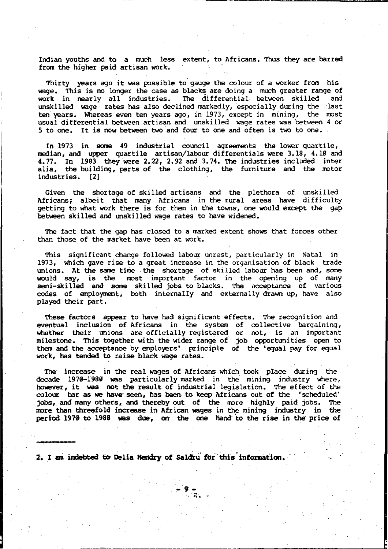Indian youths and to. a much less extent, to. Africans. Thus they are barred from the higher paid artisan work.

Thirty years ago it was possible to gauge the colour of a worker from his wage. This is no longer the case as blacks are doing a much greater range of<br>work in nearly all industries. The differential between skilled and work in nearly all industries. The differential between skilled unskilled wage rates has also declined markedly, especially during the last ten'years. Whereas even ten years ago, in 1973, except in mining, the most usual differential between artisan and unskilled wage rates was between 4 or 5 to one. It is now between two 'and four to one and often is two to one.

In 1973 in sane 49 industrial council agreements the lower quartile, median, and upper quartile artisan/labour differentials were 3.18, 4.10 and 4.77. In 1983 they were 2.22, 2.92 and 3.74. The industries included inter alia, the building, parts of the clothing, the furniture and the motor industries. [2)

Given the shortage of skilled artisans and the plethora of unskilled Africans; albeit that many Africans in the rural areas have difficulty getting to what work there is for them in the towns', one would except the gap between skilled and unskilled wage rates to have widened.

The fact that the gap has closed to a marked extent shows that forces other than those of the market have been at work.

This significant change followed labour unrest, particularly in Natal in 1973, which gave rise to a great increase in the organisation of black trade unions. At the same time the shortage of skilled labour has been and, some would say, is the most important factor in the opening up of many semi-skilled and some skilled jobs to blacks. The acceptance of various codes of employment, both internally and externally drawn up, have also played their part.

These factors appear to have had' significant effects. The recognition and eventual inclusion of Africans in the system of collective bargaining, whether their unions are officially registered or not, is an important milestone. This together with the wider range of job opportunities open to them and the acceptance by employers' principle of the 'equal pay for equal work, has tended to raise black wage rates.

The increase in the real wages of Africans which took place during the decade 1970-1980 was particularly marked, in the mining industry where, however, it was not the result of industrial legislation. The effect of the colour bar as we have seen, has been to keep Africans out of the 'scheduled' jobs, and many others, and thereby out of the more highly paid jobs. The more than threefold increase in African wages in the mining industry in the period 1970 to 1980 was due, on the one hand to the rise in the price of

-9 -

2. I am indebted to Delia Hendry of Saldru for this information.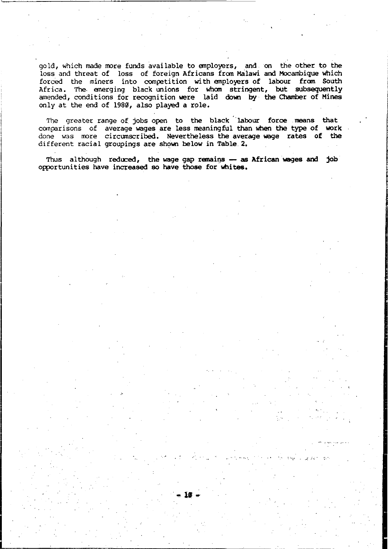gold, which made more funds available to employers, and on the other to the loss and threat of loss of foreign Africans from Malawi and Mocambique which forced the miners into competition with employers of labour from South Africa. The. emerging black unions for whom stringent, but subsequently amended, conditions for recognition were laid down by the Chamber of Mines only at the end of 1980, also played a role.

The greater range of jobs open to the black labour force means that comparisons of average wages are less meaningful than when the type of work done was more circumscribed. Nevertheless the average wage rates of the different racial groupings are shown below in Table 2.

Thus although reduced, the wage gap remains  $-$  as African wages and job opportunities have increased so have those for whites.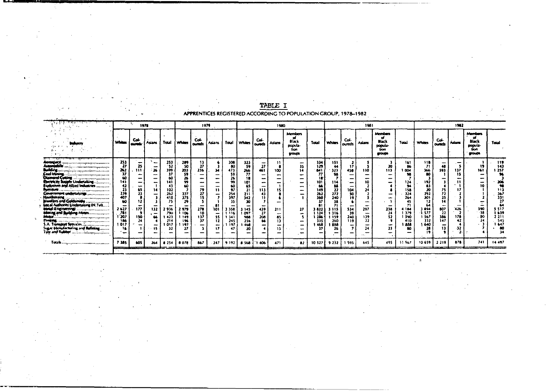|                                                                                                                                                                                                                                                                                                                                                                                                                |                                                                                                       |                                                     | 1979<br>1978 |                                                                                                                 |                                                                                                           |                                                        |                        | 1980                                                                                                              |                                                                                              |                                     |                                                  |                                               |                                                                                                        | 1981                                                                                                                |                                            |                                                                                                                           |                                                              |                                                                               | 1982                                                                                                                      |                                                   |                         |                                                                   |                                                                                                             |
|----------------------------------------------------------------------------------------------------------------------------------------------------------------------------------------------------------------------------------------------------------------------------------------------------------------------------------------------------------------------------------------------------------------|-------------------------------------------------------------------------------------------------------|-----------------------------------------------------|--------------|-----------------------------------------------------------------------------------------------------------------|-----------------------------------------------------------------------------------------------------------|--------------------------------------------------------|------------------------|-------------------------------------------------------------------------------------------------------------------|----------------------------------------------------------------------------------------------|-------------------------------------|--------------------------------------------------|-----------------------------------------------|--------------------------------------------------------------------------------------------------------|---------------------------------------------------------------------------------------------------------------------|--------------------------------------------|---------------------------------------------------------------------------------------------------------------------------|--------------------------------------------------------------|-------------------------------------------------------------------------------|---------------------------------------------------------------------------------------------------------------------------|---------------------------------------------------|-------------------------|-------------------------------------------------------------------|-------------------------------------------------------------------------------------------------------------|
|                                                                                                                                                                                                                                                                                                                                                                                                                | Whites                                                                                                | Col-<br>outeds                                      | Asians 1     | Total                                                                                                           | <b>Whites</b>                                                                                             | Col-<br>ourads                                         | Asians                 | Toul                                                                                                              | Whites   oureds '                                                                            | Col-                                | Asians                                           | Members<br>Black<br>popula-<br>tion<br>troups | Total                                                                                                  | <b>Whites</b>                                                                                                       | Col-<br>oureds                             | Asians                                                                                                                    | Members<br>œ<br>Black<br>popula-<br>tion<br>groups.          | Total                                                                         | <b>Whites</b>                                                                                                             | Col-<br>ourects                                   | Asiana                  | <b>Members</b><br>œ<br><b>Black</b><br>popula-<br>tion<br>groups. | Total                                                                                                       |
| Annupace<br>Antonio II<br>College Scott<br>Coll Marin<br>Diamond Cutting<br>Electricity Supply Undertaking<br>Explosives and Allied Industries<br>Covernment undertakings<br>Hairdressing<br><b>Invelors and Goldsmiths</b><br>Local Authority Undertaking (N. Tvl)<br><b>Metal (Engineering)</b><br><b></b><br>(dieing and Building-Mines<br>. <b>Т</b> ермания Services<br>Sugar blanufacturing and Refining | 253<br>27<br>262<br>37<br>60<br>141<br>239<br>407<br>60<br>2627<br>781<br>1'207<br>186<br>1 OI7<br>16 | 25<br>111<br>-<br>-<br>65<br>23<br>177<br>150<br>24 | 26<br>-<br>- | 253<br>-52<br>399<br>17<br>60<br>141<br>43<br>102<br>262<br>418<br>75<br>936<br>790<br>-423<br>214<br>017<br>32 | 289<br>50<br>203<br>59<br>26<br>99<br>60<br>227<br>375<br>29<br>2979<br>1 106<br>1149<br>196<br>192<br>27 | 27<br>236<br>79<br>27<br>15.<br>278<br>10<br>137<br>37 | 34<br>101<br>55.<br>12 | 308<br>60<br>473<br>59<br>26<br>99<br>60<br>97<br>254<br>397<br>35<br>1 358<br>1 1 1 6<br>341<br>245<br>197<br>47 | 323<br>59<br>266<br>77<br>101<br>65<br>211<br>342<br>3 145<br>097<br>988<br>256<br>468<br>20 | 27<br>461<br>439<br>27<br>208<br>66 | 100<br>-<br>-<br>211<br>-<br>85<br>13<br>-<br>13 | 35<br>14                                      | 334<br>129<br>841<br>77<br>101<br>66<br>149<br>262<br>360<br>3822<br>1 124<br>1286<br>335<br>468<br>37 | 151<br>44<br>323<br>98<br>114<br>BS.<br>22<br>272<br>240<br>18<br>3 1 1 5<br>1316<br><b>139</b><br>260<br>658<br>26 | 458<br>104<br>50<br>t9<br>534<br>39<br>240 | ١0<br>-<br>10<br>24<br>-<br>297<br>-<br>139<br>22<br>$\overline{\phantom{a}}$<br>24<br>$\overline{\phantom{a}}$<br>ALC: U | 20<br>113<br>238<br>24<br>52<br>-<br>$\overline{\mathbf{2}}$ | 161<br>004<br>124<br>158<br>324<br>264<br>4184<br>1 379<br>1590<br>410<br>888 | 113<br>$\mathbf{v}$<br>366<br>192<br>83<br>20<br>292<br>301<br>12<br>64<br>3894<br>1.577<br>567<br>332<br>640<br>28<br>19 | 593<br>25<br>807<br>$\overline{22}$<br>386<br>147 | 137<br>426<br>178<br>42 | 161<br>-<br>-<br>-<br>390<br>$-30$<br>80                          | 119<br>141<br>1 257<br>96<br>206<br>111<br>367<br>331<br>27<br>64<br>\$ 517<br>1 639<br>221<br>545<br>1.647 |
| $\mathsf{Tools} \dots, \dots, \dots \dots \dots \dots \dots \dots \dots \dots \dots \dots \dots$                                                                                                                                                                                                                                                                                                               | 7385                                                                                                  | 405                                                 | 264          | ■ 254                                                                                                           | 8078                                                                                                      | 867                                                    | .247                   | 9 1921                                                                                                            | 8 5 6 8                                                                                      | 1 406                               | 471                                              | 82                                            | 10 527                                                                                                 | 9 232                                                                                                               | 1 595.                                     | 645                                                                                                                       | 495                                                          | 11.567                                                                        | 10 659                                                                                                                    | 2 2 1 9                                           | 678                     | 741                                                               | 14 497                                                                                                      |

TABLE I APPRENTICES REGISTERED ACCORDING TO POPULATION GROUP, 1978-1982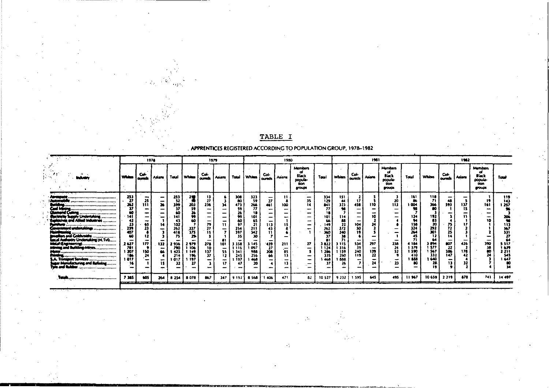| Members<br><b>Members</b><br>Col-<br>Col-<br>Col-<br>Col-<br>Col-<br><b>Black</b><br><b>Black</b><br>Whites<br><b>Whites</b><br>Total<br><b>Whites</b><br><b>Whites</b><br><b>Whites</b><br>Total<br>Total<br><b>Asians</b><br>Touri<br>Asians<br>Asians<br>  Asians<br>oureds Asians<br><b>quests</b><br>ounds<br>ournes<br>oureds  <br>popula-<br>popula-<br>tion<br>tion<br>groups<br>groups<br>253<br>118<br>300<br>323<br>$\ddot{\mathbf{1}}$<br>161<br>253<br>13<br>151<br>334<br>-<br>-<br><br>-<br>$\overline{\mathbf{r}}$<br>59<br>25<br>52<br>35<br><b><i><u>Administrative</u></i></b><br>27<br>27<br>to<br>17<br>$\boldsymbol{\eta}$<br>129<br>20<br>48<br>50<br>44<br>86<br>÷<br>,,,,,,,,,,,,,,,,,,,,,,,,,,,,,,,,,,,,,<br>$^{366}_{50}$<br>203<br>26<br>399<br>236<br>266<br>323<br>110<br>1Ī3<br>1 004<br>593<br>137<br>262<br>111<br>14<br>458<br>34<br>473<br>100<br>461<br>811<br>59<br>37<br>77<br>98<br>15<br>37<br>59<br>77<br>-<br>-<br>-<br>$\overline{\phantom{a}}$<br>-<br>محصن ابتد<br>26<br>60<br>18<br>26<br>-<br>$\overline{\phantom{a}}$<br>-<br><br>lectricity Supply Undertaking<br>192<br>141<br>99<br>99<br>101<br>10<br>124<br>141<br>101<br>114<br>-<br>$\rightarrow$<br>-<br>-<br>-<br>ļ<br>-<br>-<br>83<br>plotives and Allied Industries<br>94<br>42<br>65<br>43<br>60<br>60<br>88<br>66<br>-<br>-<br>$\overline{\phantom{0}}$<br>79<br>$\frac{20}{221}$<br>158<br>97<br>21<br>104<br>23<br>65<br>102<br>113<br>149<br>22<br>N<br>14<br>15<br>11<br>expressed undertakings<br>50<br>324<br>23<br>$\frac{227}{375}$<br>27<br>262<br>72<br>239<br>262<br>끫.<br>2/2<br>254<br>43<br>-<br>-<br>١ż<br>25<br>264<br>360<br>418<br>15<br>397<br>240<br>407<br>$\,$<br>.<br>lars and Coldurable<br>60<br>29<br>30<br>45<br>75<br>38<br>14<br>12<br>-<br>atal Authority Undertaking (N. TvD<br>-64<br>-<br>-<br>297<br>$\frac{238}{24}$<br>3.894<br>426<br>177<br>807<br>atal Graineenna<br>2 627<br>534<br>278<br>27<br>1184<br>132<br>2979<br>3 145<br>439<br>211<br>2936<br>101<br>3358<br>3115<br>3822<br>i 377<br>and Building-Mines<br>781<br>39<br>22<br>1 097<br>1379<br>1316<br>1106<br>1 1 2 4<br>790<br>10<br>27<br>1116<br>-<br>-<br>$\overline{\phantom{a}}$<br>$\overline{\phantom{0}}$<br>$\overline{\phantom{0}}$<br>1 567<br>52<br>106<br>139<br>1590<br>178<br>240<br>150<br>1 207<br>137<br>988<br>159<br>66<br>1 423<br>l 149<br>208<br>85<br>1 286<br>55<br>1341<br>332<br>119<br>147<br>24<br>186<br>37<br>256<br>196<br>260<br>410<br>66<br>13<br>-214<br>12<br>245<br>335<br>A. Transport Services<br>640<br>1 888<br>l 017<br>: 197<br>1 197<br>468<br>466<br>1888<br>1 017<br>-<br>-<br>-<br>-<br>-<br>-<br>28<br>23<br>13<br>- 16<br>26<br>27<br>20<br>24<br>37<br>15<br>32<br>17<br>47<br>13 |                                                                                                              | 1962                                                             |  |  |  | 1961 |  |  |  |  | 1980 |  |  |  |  | 1979 |  |  |  |  | 1978 |                                                     |
|-------------------------------------------------------------------------------------------------------------------------------------------------------------------------------------------------------------------------------------------------------------------------------------------------------------------------------------------------------------------------------------------------------------------------------------------------------------------------------------------------------------------------------------------------------------------------------------------------------------------------------------------------------------------------------------------------------------------------------------------------------------------------------------------------------------------------------------------------------------------------------------------------------------------------------------------------------------------------------------------------------------------------------------------------------------------------------------------------------------------------------------------------------------------------------------------------------------------------------------------------------------------------------------------------------------------------------------------------------------------------------------------------------------------------------------------------------------------------------------------------------------------------------------------------------------------------------------------------------------------------------------------------------------------------------------------------------------------------------------------------------------------------------------------------------------------------------------------------------------------------------------------------------------------------------------------------------------------------------------------------------------------------------------------------------------------------------------------------------------------------------------------------------------------------------------------------------------------------------------------------------------------------------------------------------------------------------------------------------------------------------------------------------------------------------------------------------------------------------------------------------------------------------------------------------------------------------------------------------------------------------------------------------------------------------------------------------------------------------------------------------|--------------------------------------------------------------------------------------------------------------|------------------------------------------------------------------|--|--|--|------|--|--|--|--|------|--|--|--|--|------|--|--|--|--|------|-----------------------------------------------------|
|                                                                                                                                                                                                                                                                                                                                                                                                                                                                                                                                                                                                                                                                                                                                                                                                                                                                                                                                                                                                                                                                                                                                                                                                                                                                                                                                                                                                                                                                                                                                                                                                                                                                                                                                                                                                                                                                                                                                                                                                                                                                                                                                                                                                                                                                                                                                                                                                                                                                                                                                                                                                                                                                                                                                                       | Total                                                                                                        | <b>Members</b><br>œ<br><b>Black</b><br>popula-<br>tion<br>groups |  |  |  |      |  |  |  |  |      |  |  |  |  |      |  |  |  |  |      |                                                     |
| -                                                                                                                                                                                                                                                                                                                                                                                                                                                                                                                                                                                                                                                                                                                                                                                                                                                                                                                                                                                                                                                                                                                                                                                                                                                                                                                                                                                                                                                                                                                                                                                                                                                                                                                                                                                                                                                                                                                                                                                                                                                                                                                                                                                                                                                                                                                                                                                                                                                                                                                                                                                                                                                                                                                                                     | 119<br>143<br>1 257<br>206<br>ъ.<br>113<br>34.<br>331<br>27<br>5 5 1 7<br>1.631<br>2211<br>545<br>l 647<br>м | 161<br>390<br>38<br>80                                           |  |  |  |      |  |  |  |  |      |  |  |  |  |      |  |  |  |  |      | inger Manufacturing and Refining<br>Tyre and Rubber |
| 878<br>11967<br>10 659<br>495<br>2 2 1 9<br>405<br>9232<br>1 5 9 5<br>645<br>7385<br><b>8 254 8 078</b><br>82<br>10 527<br>264<br>867<br>247<br>9 192<br>8568<br>1406<br>471                                                                                                                                                                                                                                                                                                                                                                                                                                                                                                                                                                                                                                                                                                                                                                                                                                                                                                                                                                                                                                                                                                                                                                                                                                                                                                                                                                                                                                                                                                                                                                                                                                                                                                                                                                                                                                                                                                                                                                                                                                                                                                                                                                                                                                                                                                                                                                                                                                                                                                                                                                          | 14.497                                                                                                       | 741                                                              |  |  |  |      |  |  |  |  |      |  |  |  |  |      |  |  |  |  |      |                                                     |

 $\mathcal{L}_2$ 

TABLE I

### APPRENTICES REGISTERED ACCORDING TO POPULATION GROUP, 1978-1982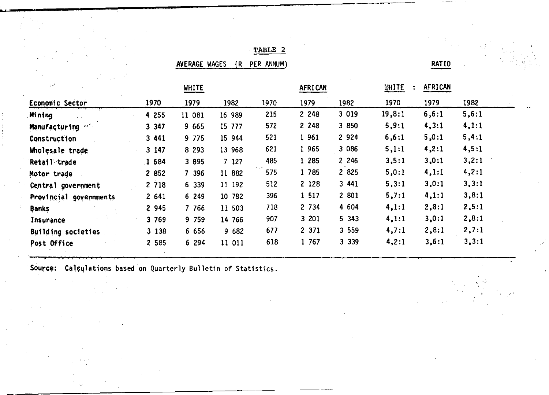# TABLE 2

AVERAGE WAGES (R PER ANNUM)

RATIO

|         | <b>WHITE</b> |        |      | <b>AFRICAN</b> |         | UHITE  |        |              |
|---------|--------------|--------|------|----------------|---------|--------|--------|--------------|
| 1970    | 1979         | 1982   | 1970 | 1979           | 1982    | 1970   | 1979   | 1982         |
| 4 255   | 11 081       | 16 989 | 215  | 2 2 4 8        | 3 0 1 9 | 19,8:1 | 6, 6:1 | 5, 6:1       |
| 3 3 4 7 | 9 6 6 5      | 15 777 | 572  | 2 2 4 8        | 3 850   | 5,9:1  | 4, 3:1 | 4,1:1        |
| 3 441   | 9 7 7 5      | 15 944 | 521  | 1 961          | 2 9 2 4 | 6, 6:1 | 5,0:1  | 5,4:1        |
| 3 147   | 8 2 9 3      | 13 968 | 621  | 1 9 6 5        | 3 0 8 6 | 5, 1:1 | 4,2:1  | 4,5:1        |
| 1684    | 3 8 9 5      | 7 127  | 485  | 1 285          | 2 2 4 6 | 3,5:1  | 3,0:1  | 3,2:1        |
| 2 852   | 7 396        | 11 882 | 575  | 1 785          | 2 8 2 5 | 5,0:1  | 4,1:1  | 4,2:1        |
| 2 7 18  | 6 339        | 11 192 | 512  | 2 1 2 8        | 3441    | 5, 3:1 | 3,0:1  | 3, 3:1       |
| 2641    | 6 249        | 10 782 | 396  | 1 5 1 7        | 2 801   | 5,7:1  | 4,1:1  | 3,8:1        |
| 2 945   | 7 7 6 6      | 11 503 | 718  | 2 7 3 4        | 4 604   | 4,1:1  | 2,8:1  | 2, 5:1       |
| 3 7 6 9 | 9 759        | 14 766 | 907  | 3 201          | 5 3 4 3 | 4,1:1  | 3,0:1  | 2,8:1        |
| 3 1 3 8 | 6 6 5 6      | 9 682  | 677  | 2 371          | 3 5 5 9 | 4,7:1  | 2,8:1  | 2,7:1        |
| 2 5 8 5 | 6 294        | 11 011 | 618  | 1 767          | 3 3 3 9 | 4,2:1  | 3, 6:1 | 3, 3:1       |
|         |              |        |      |                |         |        |        | AFRICAN<br>÷ |

Source: Calculations based on Quarterly Bulletin of Statistics.